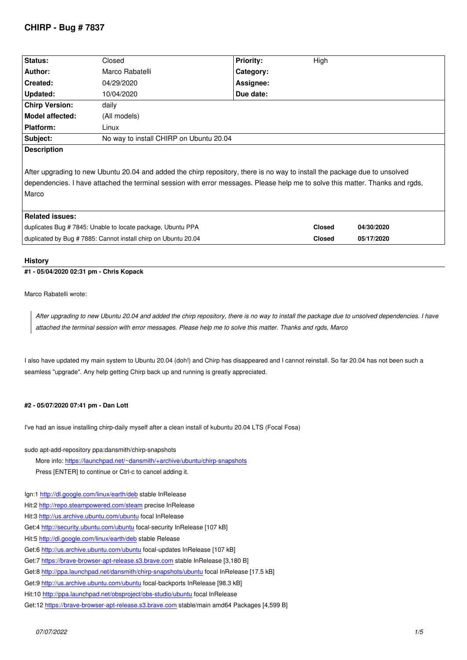| Status:                                                                                                                                                                                                                                                              | Closed                                  | <b>Priority:</b> | High          |            |
|----------------------------------------------------------------------------------------------------------------------------------------------------------------------------------------------------------------------------------------------------------------------|-----------------------------------------|------------------|---------------|------------|
| Author:                                                                                                                                                                                                                                                              | Marco Rabatelli                         | Category:        |               |            |
| Created:                                                                                                                                                                                                                                                             | 04/29/2020                              | Assignee:        |               |            |
| Updated:                                                                                                                                                                                                                                                             | 10/04/2020                              | Due date:        |               |            |
| <b>Chirp Version:</b>                                                                                                                                                                                                                                                | daily                                   |                  |               |            |
| <b>Model affected:</b>                                                                                                                                                                                                                                               | (All models)                            |                  |               |            |
| Platform:                                                                                                                                                                                                                                                            | Linux                                   |                  |               |            |
| Subject:                                                                                                                                                                                                                                                             | No way to install CHIRP on Ubuntu 20.04 |                  |               |            |
| <b>Description</b>                                                                                                                                                                                                                                                   |                                         |                  |               |            |
| After upgrading to new Ubuntu 20.04 and added the chirp repository, there is no way to install the package due to unsolved<br>dependencies. I have attached the terminal session with error messages. Please help me to solve this matter. Thanks and rgds,<br>Marco |                                         |                  |               |            |
| <b>Related issues:</b>                                                                                                                                                                                                                                               |                                         |                  |               |            |
| duplicates Bug #7845: Unable to locate package, Ubuntu PPA                                                                                                                                                                                                           |                                         |                  | <b>Closed</b> | 04/30/2020 |
| duplicated by Bug # 7885: Cannot install chirp on Ubuntu 20.04                                                                                                                                                                                                       |                                         |                  | <b>Closed</b> | 05/17/2020 |
|                                                                                                                                                                                                                                                                      |                                         |                  |               |            |

### **History**

### **#1 - 05/04/2020 02:31 pm - Chris Kopack**

*Marco Rabatelli wrote:*

*After upgrading to new Ubuntu 20.04 and added the chirp repository, there is no way to install the package due to unsolved dependencies. I have attached the terminal session with error messages. Please help me to solve this matter. Thanks and rgds, Marco*

*I also have updated my main system to Ubuntu 20.04 (doh!) and Chirp has disappeared and I cannot reinstall. So far 20.04 has not been such a seamless "upgrade". Any help getting Chirp back up and running is greatly appreciated.*

### **#2 - 05/07/2020 07:41 pm - Dan Lott**

*I've had an issue installing chirp-daily myself after a clean install of kubuntu 20.04 LTS (Focal Fosa)*

*sudo apt-add-repository ppa:dansmith/chirp-snapshots*

*More info: https://launchpad.net/~dansmith/+archive/ubuntu/chirp-snapshots*

- *Press [ENTER] to continue or Ctrl-c to cancel adding it.*
- *Ign:1 http://dl.[google.com/linux/earth/deb stable InRelease](https://launchpad.net/~dansmith/+archive/ubuntu/chirp-snapshots)*
- *Hit:2 http://repo.steampowered.com/steam precise InRelease*
- *Hit:3 http://us.archive.ubuntu.com/ubuntu focal InRelease*
- *Get:4 http://security.ubuntu.com/ubuntu focal-security InRelease [107 kB]*
- *Hit:5 <http://dl.google.com/linux/earth/deb>stable Release*
- *Get:[6 http://us.archive.ubuntu.com/ubuntu](http://repo.steampowered.com/steam) focal-updates InRelease [107 kB]*
- *Get:7 [https://brave-browser-apt-release.](http://security.ubuntu.com/ubuntu)s3.brave.com stable InRelease [3,180 B]*
- *Get:8 http://ppa.launchpad.net/dansmith/chirp-snapshots/ubuntu focal InRelease [17.5 kB]*
- *Get:[9 http://us.archive.ubuntu.com/ubunt](http://dl.google.com/linux/earth/deb)u focal-backports InRelease [98.3 kB]*
- *Hit:10 [http://ppa.launchpad.net/obsproject/](http://us.archive.ubuntu.com/ubuntu)obs-studio/ubuntu focal InRelease*
- *Get:1[2 https://brave-browser-apt-release.s3.brave.co](https://brave-browser-apt-release.s3.brave.com)[m stable/ma](http://ppa.launchpad.net/dansmith/chirp-snapshots/ubuntu)in amd64 Packages [4,599 B]*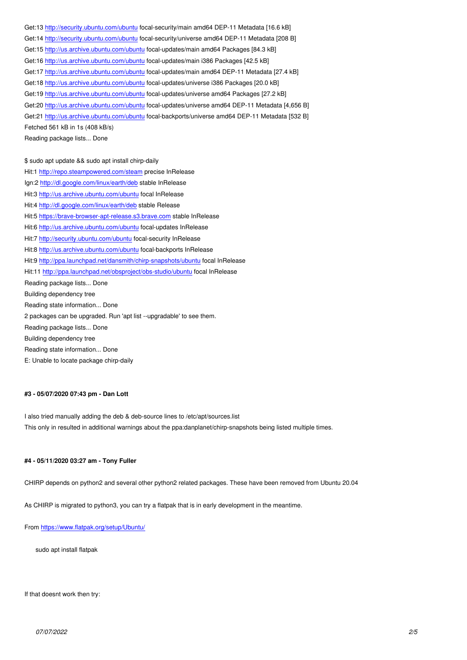*Get:14 http://security.ubuntu.com/ubuntu focal-security/universe amd64 DEP-11 Metadata [208 B] Get:15 http://us.archive.ubuntu.com/ubuntu focal-updates/main amd64 Packages [84.3 kB] Get:16 http://us.archive.ubuntu.com/ubuntu focal-updates/main i386 Packages [42.5 kB] Get:17 [http://us.archive.ubuntu.com/ubun](http://security.ubuntu.com/ubuntu)tu focal-updates/main amd64 DEP-11 Metadata [27.4 kB] Get:18 [http://us.archive.ubuntu.com/ubun](http://security.ubuntu.com/ubuntu)tu focal-updates/universe i386 Packages [20.0 kB] Get:19<http://us.archive.ubuntu.com/ubuntu>focal-updates/universe amd64 Packages [27.2 kB] Get:20<http://us.archive.ubuntu.com/ubuntu>focal-updates/universe amd64 DEP-11 Metadata [4,656 B] Get:21<http://us.archive.ubuntu.com/ubuntu>focal-backports/universe amd64 DEP-11 Metadata [532 B] Fetched 561 kB in 1s (408 kB/s) Readin[g package lists... Done](http://us.archive.ubuntu.com/ubuntu)*

*\$ sudo [apt update && sudo apt install chirp-](http://us.archive.ubuntu.com/ubuntu)daily Hit:1 http://repo.steampowered.com/steam precise InRelease Ign:2 http://dl.google.com/linux/earth/deb stable InRelease Hit:3 http://us.archive.ubuntu.com/ubuntu focal InRelease Hit:4 http://dl.google.com/linux/earth/deb stable Release Hit:5 [https://brave-browser-apt-release.s3.b](http://repo.steampowered.com/steam)rave.com stable InRelease Hit:6 [http://us.archive.ubuntu.com/ubuntu](http://dl.google.com/linux/earth/deb) focal-updates InRelease Hit:7 [http://security.ubuntu.com/ubuntu f](http://dl.google.com/linux/earth/deb)[o](http://us.archive.ubuntu.com/ubuntu)cal-security InRelease Hit:8 [http://us.archive.ubuntu.com/ubuntu focal-backp](https://brave-browser-apt-release.s3.brave.com)orts InRelease Hit:9 http://ppa.launchpad.net/dansmith/chirp-snapshots/ubuntu focal InRelease Hit:1[1 http://ppa.launchpad.net/obsprojec](http://us.archive.ubuntu.com/ubuntu)t/obs-studio/ubuntu focal InRelease Rea[ding package lists... Done](http://security.ubuntu.com/ubuntu) Build[ing dependency tree](http://us.archive.ubuntu.com/ubuntu)  Rea[ding state information... Done](http://ppa.launchpad.net/dansmith/chirp-snapshots/ubuntu) 2 pac[kages can be upgraded. Run 'apt list --upgradable' to se](http://ppa.launchpad.net/obsproject/obs-studio/ubuntu)e them. Reading package lists... Done Building dependency tree Reading state information... Done*

*E: Unable to locate package chirp-daily*

### **#3 - 05/07/2020 07:43 pm - Dan Lott**

*I also tried manually adding the deb & deb-source lines to /etc/apt/sources.list This only in resulted in additional warnings about the ppa:danplanet/chirp-snapshots being listed multiple times.*

#### **#4 - 05/11/2020 03:27 am - Tony Fuller**

*CHIRP depends on python2 and several other python2 related packages. These have been removed from Ubuntu 20.04*

*As CHIRP is migrated to python3, you can try a flatpak that is in early development in the meantime.*

*From https://www.flatpak.org/setup/Ubuntu/*

*sudo apt install flatpak*

*If that doesnt work then try:*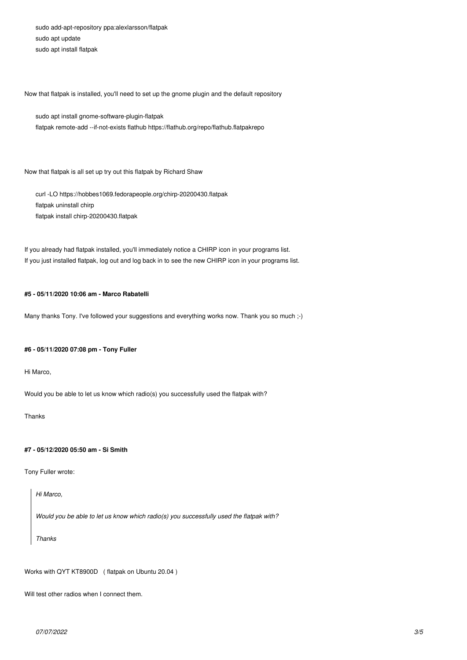*sudo add-apt-repository ppa:alexlarsson/flatpak sudo apt update sudo apt install flatpak*

*Now that flatpak is installed, you'll need to set up the gnome plugin and the default repository*

*sudo apt install gnome-software-plugin-flatpak flatpak remote-add --if-not-exists flathub https://flathub.org/repo/flathub.flatpakrepo*

*Now that flatpak is all set up try out this flatpak by Richard Shaw*

*curl -LO https://hobbes1069.fedorapeople.org/chirp-20200430.flatpak flatpak uninstall chirp flatpak install chirp-20200430.flatpak*

*If you already had flatpak installed, you'll immediately notice a CHIRP icon in your programs list. If you just installed flatpak, log out and log back in to see the new CHIRP icon in your programs list.*

### **#5 - 05/11/2020 10:06 am - Marco Rabatelli**

*Many thanks Tony. I've followed your suggestions and everything works now. Thank you so much ;-)*

### **#6 - 05/11/2020 07:08 pm - Tony Fuller**

*Hi Marco,*

*Would you be able to let us know which radio(s) you successfully used the flatpak with?*

*Thanks*

## **#7 - 05/12/2020 05:50 am - Si Smith**

*Tony Fuller wrote:*

*Hi Marco,*

*Would you be able to let us know which radio(s) you successfully used the flatpak with?*

*Thanks*

*Works with QYT KT8900D ( flatpak on Ubuntu 20.04 )*

*Will test other radios when I connect them.*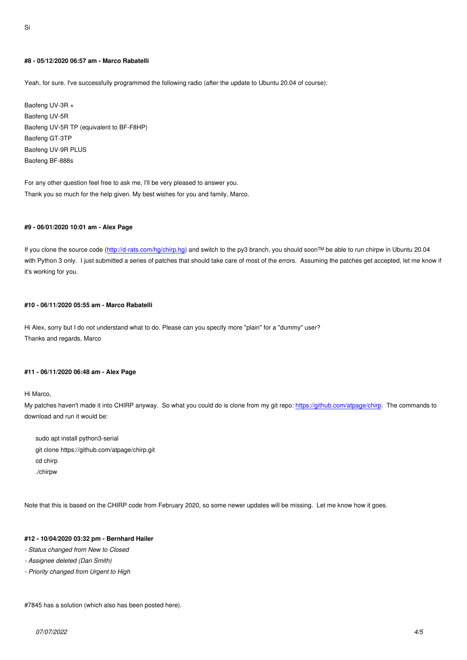### **#8 - 05/12/2020 06:57 am - Marco Rabatelli**

*Yeah, for sure. I've successfully programmed the following radio (after the update to Ubuntu 20.04 of course):*

*Baofeng UV-3R + Baofeng UV-5R Baofeng UV-5R TP (equivalent to BF-F8HP) Baofeng GT-3TP Baofeng UV-9R PLUS Baofeng BF-888s*

*For any other question feel free to ask me, I'll be very pleased to answer you. Thank you so much for the help given. My best wishes for you and family, Marco.*

#### **#9 - 06/01/2020 10:01 am - Alex Page**

*If you clone the source code (http://d-rats.com/hg/chirp.hg) and switch to the py3 branch, you should soon™ be able to run chirpw in Ubuntu 20.04 with Python 3 only. I just submitted a series of patches that should take care of most of the errors. Assuming the patches get accepted, let me know if it's working for you.*

## **#10 - 06/11/2020 05:55 am - Marco Rabatelli**

*Hi Alex, sorry but I do not understand what to do. Please can you specify more "plain" for a "dummy" user? Thanks and regards, Marco*

### **#11 - 06/11/2020 06:48 am - Alex Page**

*Hi Marco,*

*My patches haven't made it into CHIRP anyway. So what you could do is clone from my git repo: https://github.com/atpage/chirp. The commands to download and run it would be:*

*sudo apt install python3-serial git clone https://github.com/atpage/chirp.git cd chirp ./chirpw*

*Note that this is based on the CHIRP code from February 2020, so some newer updates will be missing. Let me know how it goes.*

### **#12 - 10/04/2020 03:32 pm - Bernhard Hailer**

- *Status changed from New to Closed*
- *Assignee deleted (Dan Smith)*
- *Priority changed from Urgent to High*

*#7845 has a solution (which also has been posted here).*